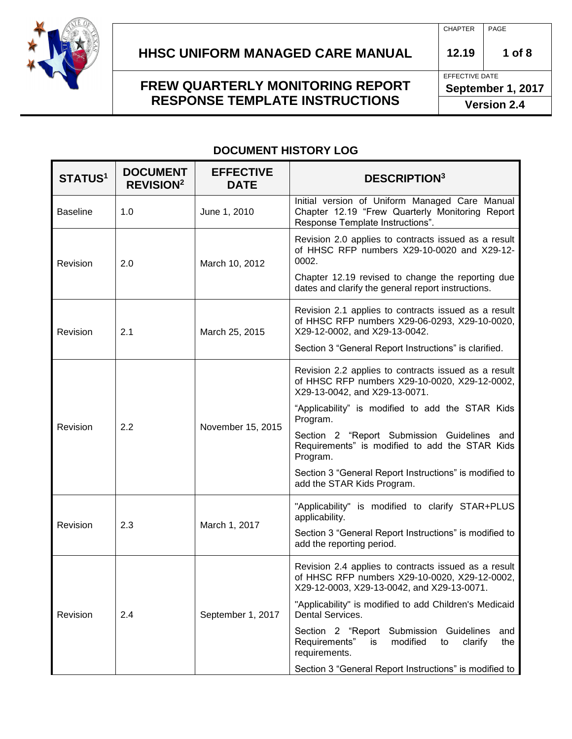

EFFECTIVE DATE **September 1, 2017**

**Version 2.4**

#### **DOCUMENT HISTORY LOG**

| <b>STATUS1</b>                   | <b>DOCUMENT</b><br><b>REVISION<sup>2</sup></b>                     | <b>EFFECTIVE</b><br><b>DATE</b> | <b>DESCRIPTION3</b>                                                                                                                                 |
|----------------------------------|--------------------------------------------------------------------|---------------------------------|-----------------------------------------------------------------------------------------------------------------------------------------------------|
| <b>Baseline</b>                  | 1.0                                                                | June 1, 2010                    | Initial version of Uniform Managed Care Manual<br>Chapter 12.19 "Frew Quarterly Monitoring Report<br>Response Template Instructions".               |
| Revision                         | 2.0                                                                | March 10, 2012                  | Revision 2.0 applies to contracts issued as a result<br>of HHSC RFP numbers X29-10-0020 and X29-12-<br>0002.                                        |
|                                  |                                                                    |                                 | Chapter 12.19 revised to change the reporting due<br>dates and clarify the general report instructions.                                             |
| Revision                         | 2.1                                                                | March 25, 2015                  | Revision 2.1 applies to contracts issued as a result<br>of HHSC RFP numbers X29-06-0293, X29-10-0020,<br>X29-12-0002, and X29-13-0042.              |
|                                  |                                                                    |                                 | Section 3 "General Report Instructions" is clarified.                                                                                               |
| Revision                         | 2.2                                                                | November 15, 2015               | Revision 2.2 applies to contracts issued as a result<br>of HHSC RFP numbers X29-10-0020, X29-12-0002,<br>X29-13-0042, and X29-13-0071.              |
|                                  |                                                                    |                                 | "Applicability" is modified to add the STAR Kids<br>Program.                                                                                        |
|                                  |                                                                    |                                 | Section 2 "Report Submission Guidelines and<br>Requirements" is modified to add the STAR Kids<br>Program.                                           |
|                                  |                                                                    |                                 | Section 3 "General Report Instructions" is modified to<br>add the STAR Kids Program.                                                                |
| 2.3<br>Revision<br>March 1, 2017 | "Applicability" is modified to clarify STAR+PLUS<br>applicability. |                                 |                                                                                                                                                     |
|                                  |                                                                    |                                 | Section 3 "General Report Instructions" is modified to<br>add the reporting period.                                                                 |
| Revision                         | 2.4                                                                | September 1, 2017               | Revision 2.4 applies to contracts issued as a result<br>of HHSC RFP numbers X29-10-0020, X29-12-0002,<br>X29-12-0003, X29-13-0042, and X29-13-0071. |
|                                  |                                                                    |                                 | "Applicability" is modified to add Children's Medicaid<br>Dental Services.                                                                          |
|                                  |                                                                    |                                 | Section 2 "Report<br>Submission<br>Guidelines<br>and<br>Requirements"<br>modified<br>clarify<br>the<br>is<br>to<br>requirements.                    |
|                                  |                                                                    |                                 | Section 3 "General Report Instructions" is modified to                                                                                              |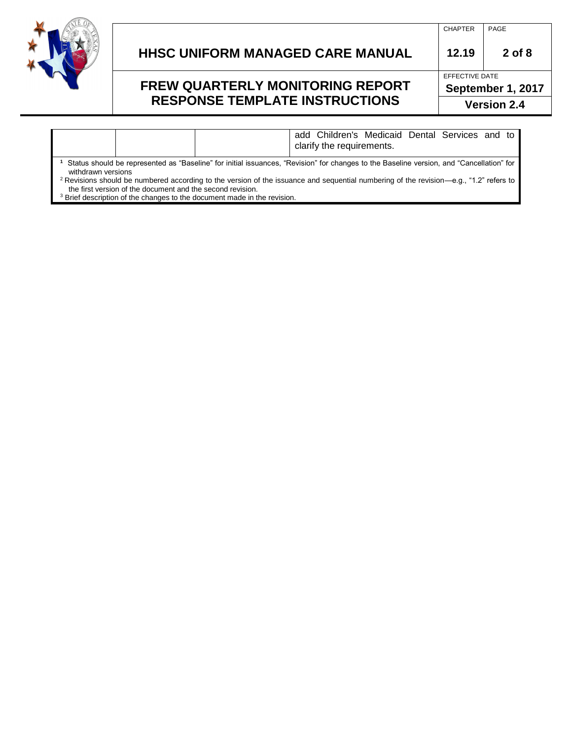

#### **HHSC UNIFORM MANAGED CARE MANUAL 12.19 2 of 8**

#### **FREW QUARTERLY MONITORING REPORT RESPONSE TEMPLATE INSTRUCTIONS**

| <b>CHAPTER</b> | PAGF |
|----------------|------|

EFFECTIVE DATE **September 1, 2017 Version 2.4**

add Children's Medicaid Dental Services and to clarify the requirements.

**1** Status should be represented as "Baseline" for initial issuances, "Revision" for changes to the Baseline version, and "Cancellation" for withdrawn versions

<sup>2</sup> Revisions should be numbered according to the version of the issuance and sequential numbering of the revision—e.g., "1.2" refers to the first version of the document and the second revision.

<sup>3</sup> Brief description of the changes to the document made in the revision.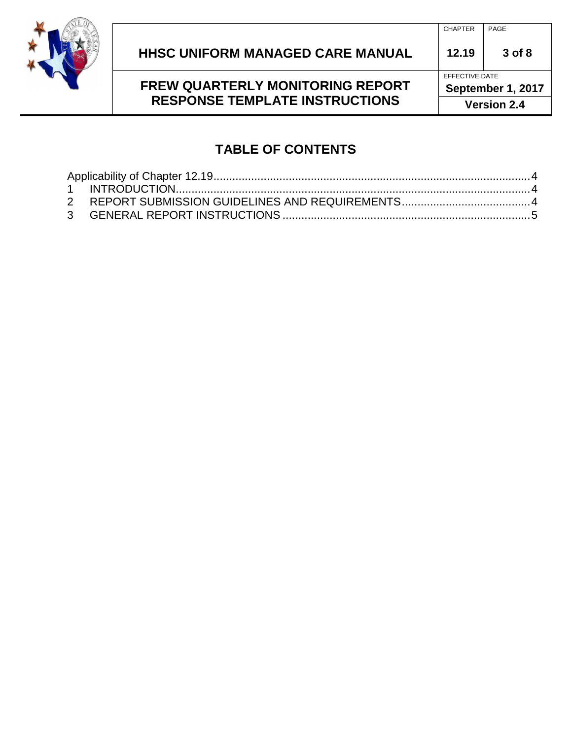

#### CHAPTER PAGE

### **FREW QUARTERLY MONITORING REPORT RESPONSE TEMPLATE INSTRUCTIONS**

EFFECTIVE DATE **September 1, 2017**

**Version 2.4**

### **TABLE OF CONTENTS**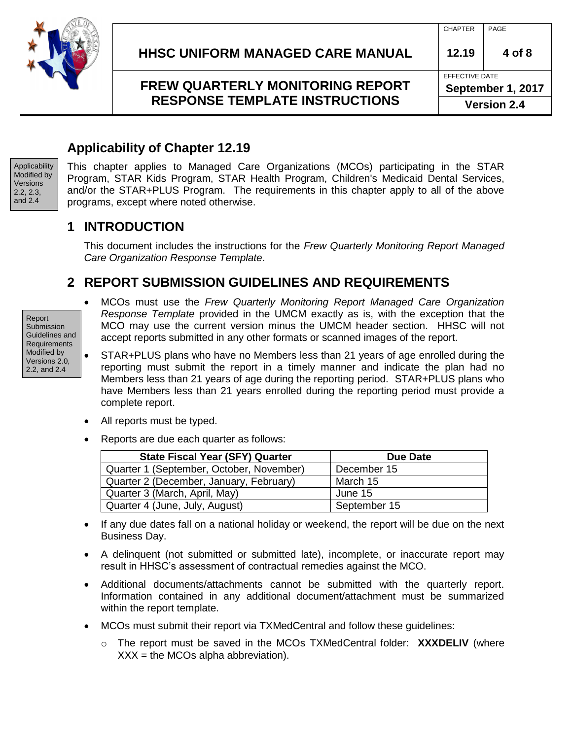

## <span id="page-3-0"></span>**Applicability of Chapter 12.19**

Applicability Modified by Versions 2.2, 2.3, and 2.4

This chapter applies to Managed Care Organizations (MCOs) participating in the STAR Program, STAR Kids Program, STAR Health Program, Children's Medicaid Dental Services, and/or the STAR+PLUS Program. The requirements in this chapter apply to all of the above programs, except where noted otherwise.

#### <span id="page-3-1"></span>**1 INTRODUCTION**

This document includes the instructions for the *Frew Quarterly Monitoring Report Managed Care Organization Response Template*.

### <span id="page-3-2"></span>**2 REPORT SUBMISSION GUIDELINES AND REQUIREMENTS**

Report Submission Guidelines and **Requirements** Modified by Versions 2.0, 2.2, and 2.4

- MCOs must use the *Frew Quarterly Monitoring Report Managed Care Organization Response Template* provided in the UMCM exactly as is, with the exception that the MCO may use the current version minus the UMCM header section. HHSC will not accept reports submitted in any other formats or scanned images of the report.
- STAR+PLUS plans who have no Members less than 21 years of age enrolled during the reporting must submit the report in a timely manner and indicate the plan had no Members less than 21 years of age during the reporting period. STAR+PLUS plans who have Members less than 21 years enrolled during the reporting period must provide a complete report.
- All reports must be typed.
- Reports are due each quarter as follows:

| <b>State Fiscal Year (SFY) Quarter</b>   | Due Date     |
|------------------------------------------|--------------|
| Quarter 1 (September, October, November) | December 15  |
| Quarter 2 (December, January, February)  | March 15     |
| Quarter 3 (March, April, May)            | June 15      |
| Quarter 4 (June, July, August)           | September 15 |

- If any due dates fall on a national holiday or weekend, the report will be due on the next Business Day.
- A delinquent (not submitted or submitted late), incomplete, or inaccurate report may result in HHSC's assessment of contractual remedies against the MCO.
- Additional documents/attachments cannot be submitted with the quarterly report. Information contained in any additional document/attachment must be summarized within the report template.
- MCOs must submit their report via TXMedCentral and follow these guidelines:
	- o The report must be saved in the MCOs TXMedCentral folder: **XXXDELIV** (where  $XXX =$  the MCOs alpha abbreviation).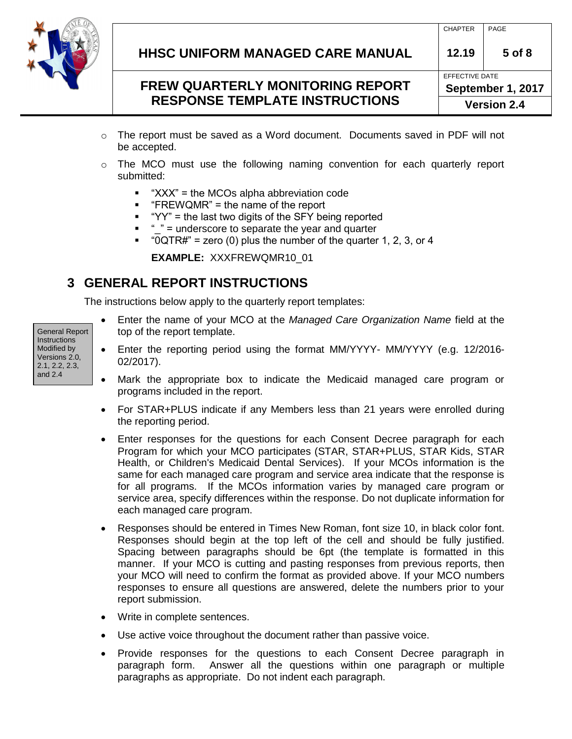

- $\circ$  The report must be saved as a Word document. Documents saved in PDF will not be accepted.
- o The MCO must use the following naming convention for each quarterly report submitted:
	- "XXX" = the MCOs alpha abbreviation code
	- $\blacksquare$  "FREWQMR" = the name of the report
	- "YY" = the last two digits of the SFY being reported
	- $" " =$  underscore to separate the year and quarter
	- $\bullet$  "0QTR#" = zero (0) plus the number of the quarter 1, 2, 3, or 4

**EXAMPLE:** XXXFREWQMR10\_01

# <span id="page-4-0"></span>**3 GENERAL REPORT INSTRUCTIONS**

The instructions below apply to the quarterly report templates:

General Report **Instructions** Modified by Versions 2.0, 2.1, 2.2, 2.3, and 2.4

- Enter the name of your MCO at the *Managed Care Organization Name* field at the top of the report template.
- Enter the reporting period using the format MM/YYYY- MM/YYYY (e.g. 12/2016- 02/2017).
- Mark the appropriate box to indicate the Medicaid managed care program or programs included in the report.
- For STAR+PLUS indicate if any Members less than 21 years were enrolled during the reporting period.
- Enter responses for the questions for each Consent Decree paragraph for each Program for which your MCO participates (STAR, STAR+PLUS, STAR Kids, STAR Health, or Children's Medicaid Dental Services). If your MCOs information is the same for each managed care program and service area indicate that the response is for all programs. If the MCOs information varies by managed care program or service area, specify differences within the response. Do not duplicate information for each managed care program.
- Responses should be entered in Times New Roman, font size 10, in black color font. Responses should begin at the top left of the cell and should be fully justified. Spacing between paragraphs should be 6pt (the template is formatted in this manner. If your MCO is cutting and pasting responses from previous reports, then your MCO will need to confirm the format as provided above. If your MCO numbers responses to ensure all questions are answered, delete the numbers prior to your report submission.
- Write in complete sentences.
- Use active voice throughout the document rather than passive voice.
- Provide responses for the questions to each Consent Decree paragraph in paragraph form. Answer all the questions within one paragraph or multiple paragraphs as appropriate. Do not indent each paragraph.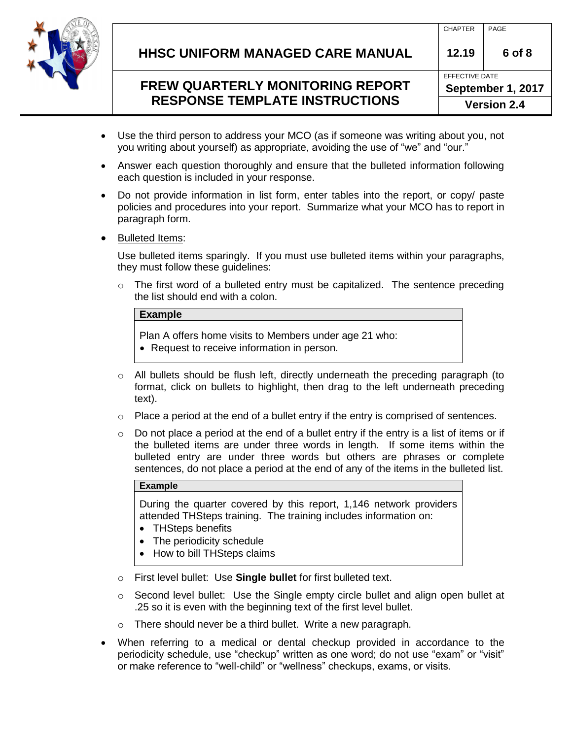

| <b>Version 2.4</b> |                   |        |  |  |
|--------------------|-------------------|--------|--|--|
|                    | September 1, 2017 |        |  |  |
|                    | EFFECTIVE DATE    |        |  |  |
|                    | 12.19             | 6 of 8 |  |  |
|                    | <b>CHAPTER</b>    | PAGE   |  |  |
|                    |                   |        |  |  |

- Use the third person to address your MCO (as if someone was writing about you, not you writing about yourself) as appropriate, avoiding the use of "we" and "our."
- Answer each question thoroughly and ensure that the bulleted information following each question is included in your response.
- Do not provide information in list form, enter tables into the report, or copy/ paste policies and procedures into your report. Summarize what your MCO has to report in paragraph form.
- Bulleted Items:

Use bulleted items sparingly. If you must use bulleted items within your paragraphs, they must follow these guidelines:

 $\circ$  The first word of a bulleted entry must be capitalized. The sentence preceding the list should end with a colon.

#### **Example**

Plan A offers home visits to Members under age 21 who:

- Request to receive information in person.
- o All bullets should be flush left, directly underneath the preceding paragraph (to format, click on bullets to highlight, then drag to the left underneath preceding text).
- o Place a period at the end of a bullet entry if the entry is comprised of sentences.
- $\circ$  Do not place a period at the end of a bullet entry if the entry is a list of items or if the bulleted items are under three words in length. If some items within the bulleted entry are under three words but others are phrases or complete sentences, do not place a period at the end of any of the items in the bulleted list.

#### **Example**

During the quarter covered by this report, 1,146 network providers attended THSteps training. The training includes information on:

- THSteps benefits
- The periodicity schedule
- How to bill THSteps claims
- o First level bullet: Use **Single bullet** for first bulleted text.
- o Second level bullet: Use the Single empty circle bullet and align open bullet at .25 so it is even with the beginning text of the first level bullet.
- o There should never be a third bullet. Write a new paragraph.
- When referring to a medical or dental checkup provided in accordance to the periodicity schedule, use "checkup" written as one word; do not use "exam" or "visit" or make reference to "well-child" or "wellness" checkups, exams, or visits.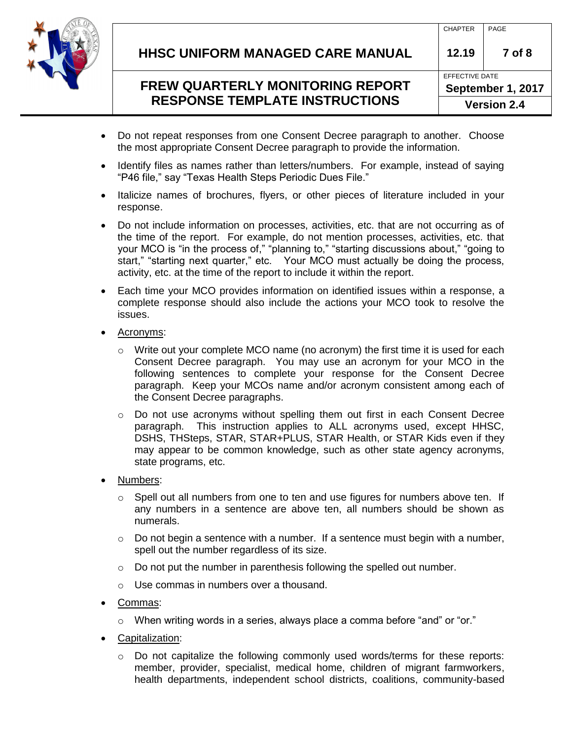

- Do not repeat responses from one Consent Decree paragraph to another. Choose the most appropriate Consent Decree paragraph to provide the information.
- Identify files as names rather than letters/numbers. For example, instead of saying "P46 file," say "Texas Health Steps Periodic Dues File."
- Italicize names of brochures, flyers, or other pieces of literature included in your response.
- Do not include information on processes, activities, etc. that are not occurring as of the time of the report. For example, do not mention processes, activities, etc. that your MCO is "in the process of," "planning to," "starting discussions about," "going to start," "starting next quarter," etc. Your MCO must actually be doing the process, activity, etc. at the time of the report to include it within the report.
- Each time your MCO provides information on identified issues within a response, a complete response should also include the actions your MCO took to resolve the issues.
- Acronyms:
	- $\circ$  Write out your complete MCO name (no acronym) the first time it is used for each Consent Decree paragraph. You may use an acronym for your MCO in the following sentences to complete your response for the Consent Decree paragraph. Keep your MCOs name and/or acronym consistent among each of the Consent Decree paragraphs.
	- $\circ$  Do not use acronyms without spelling them out first in each Consent Decree paragraph. This instruction applies to ALL acronyms used, except HHSC, DSHS, THSteps, STAR, STAR+PLUS, STAR Health, or STAR Kids even if they may appear to be common knowledge, such as other state agency acronyms, state programs, etc.
- Numbers:
	- $\circ$  Spell out all numbers from one to ten and use figures for numbers above ten. If any numbers in a sentence are above ten, all numbers should be shown as numerals.
	- $\circ$  Do not begin a sentence with a number. If a sentence must begin with a number, spell out the number regardless of its size.
	- $\circ$  Do not put the number in parenthesis following the spelled out number.
	- o Use commas in numbers over a thousand.
- Commas:
	- $\circ$  When writing words in a series, always place a comma before "and" or "or."
- Capitalization:
	- $\circ$  Do not capitalize the following commonly used words/terms for these reports: member, provider, specialist, medical home, children of migrant farmworkers, health departments, independent school districts, coalitions, community-based